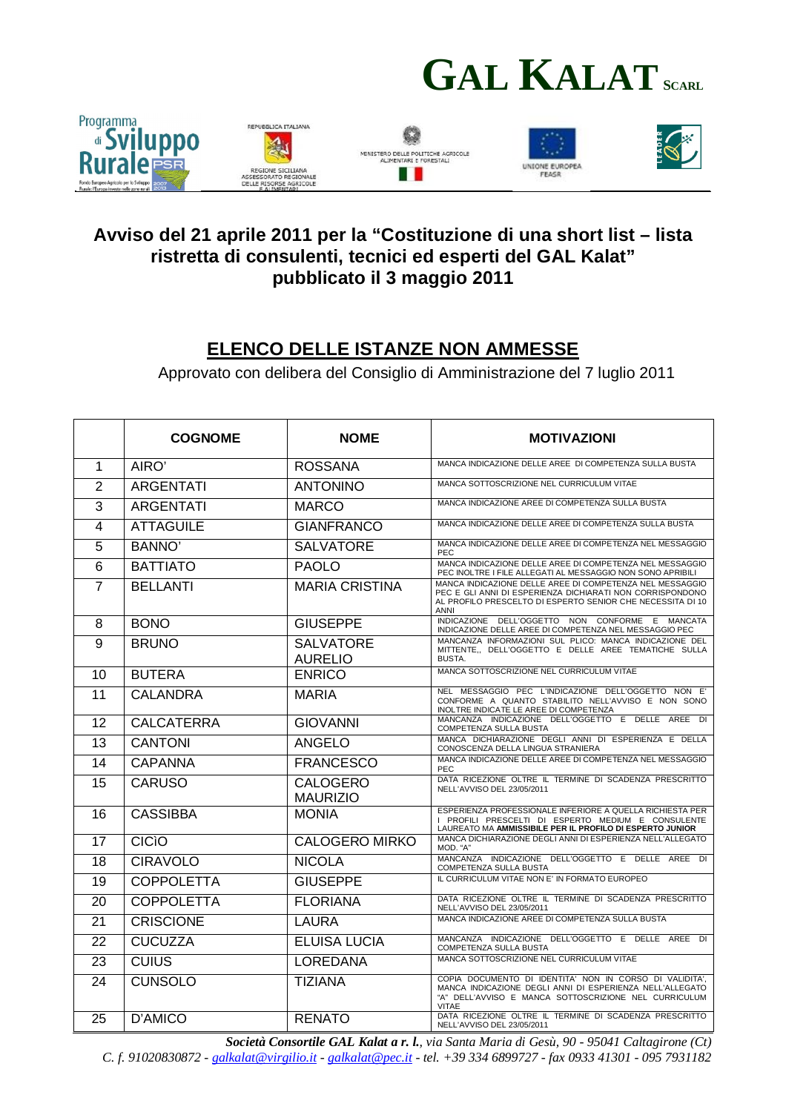



## **Avviso del 21 aprile 2011 per la "Costituzione di una short list – lista ristretta di consulenti, tecnici ed esperti del GAL Kalat" pubblicato il 3 maggio 2011**

## **ELENCO DELLE ISTANZE NON AMMESSE**

Approvato con delibera del Consiglio di Amministrazione del 7 luglio 2011

|                | <b>COGNOME</b>    | <b>NOME</b>                        | <b>MOTIVAZIONI</b>                                                                                                                                                                           |
|----------------|-------------------|------------------------------------|----------------------------------------------------------------------------------------------------------------------------------------------------------------------------------------------|
| 1              | AIRO'             | <b>ROSSANA</b>                     | MANCA INDICAZIONE DELLE AREE DI COMPETENZA SULLA BUSTA                                                                                                                                       |
| $\overline{2}$ | <b>ARGENTATI</b>  | <b>ANTONINO</b>                    | MANCA SOTTOSCRIZIONE NEL CURRICULUM VITAE                                                                                                                                                    |
| 3              | <b>ARGENTATI</b>  | <b>MARCO</b>                       | MANCA INDICAZIONE AREE DI COMPETENZA SULLA BUSTA                                                                                                                                             |
| 4              | <b>ATTAGUILE</b>  | <b>GIANFRANCO</b>                  | MANCA INDICAZIONE DELLE AREE DI COMPETENZA SULLA BUSTA                                                                                                                                       |
| 5              | <b>BANNO'</b>     | <b>SALVATORE</b>                   | MANCA INDICAZIONE DELLE AREE DI COMPETENZA NEL MESSAGGIO<br><b>PEC</b>                                                                                                                       |
| 6              | <b>BATTIATO</b>   | <b>PAOLO</b>                       | MANCA INDICAZIONE DELLE AREE DI COMPETENZA NEL MESSAGGIO<br>PEC INOLTRE I FILE ALLEGATI AL MESSAGGIO NON SONO APRIBILI                                                                       |
| 7              | <b>BELLANTI</b>   | <b>MARIA CRISTINA</b>              | MANCA INDICAZIONE DELLE AREE DI COMPETENZA NEL MESSAGGIO<br>PEC E GLI ANNI DI ESPERIENZA DICHIARATI NON CORRISPONDONO<br>AL PROFILO PRESCELTO DI ESPERTO SENIOR CHE NECESSITA DI 10<br>ANNI  |
| 8              | <b>BONO</b>       | <b>GIUSEPPE</b>                    | INDICAZIONE DELL'OGGETTO NON CONFORME E MANCATA<br>INDICAZIONE DELLE AREE DI COMPETENZA NEL MESSAGGIO PEC                                                                                    |
| 9              | <b>BRUNO</b>      | <b>SALVATORE</b><br><b>AURELIO</b> | MANCANZA INFORMAZIONI SUL PLICO: MANCA INDICAZIONE DEL<br>MITTENTE,, DELL'OGGETTO E DELLE AREE TEMATICHE SULLA<br><b>BUSTA.</b>                                                              |
| 10             | <b>BUTERA</b>     | <b>ENRICO</b>                      | MANCA SOTTOSCRIZIONE NEL CURRICULUM VITAE                                                                                                                                                    |
| 11             | <b>CALANDRA</b>   | <b>MARIA</b>                       | NEL MESSAGGIO PEC L'INDICAZIONE DELL'OGGETTO NON E'<br>CONFORME A QUANTO STABILITO NELL'AVVISO E NON SONO<br>INOLTRE INDICATE LE AREE DI COMPETENZA                                          |
| 12             | <b>CALCATERRA</b> | <b>GIOVANNI</b>                    | MANCANZA INDICAZIONE DELL'OGGETTO E DELLE AREE DI<br>COMPETENZA SULLA BUSTA                                                                                                                  |
| 13             | CANTONI           | ANGELO                             | MANCA DICHIARAZIONE DEGLI ANNI DI ESPERIENZA E DELLA<br>CONOSCENZA DELLA LINGUA STRANIERA                                                                                                    |
| 14             | <b>CAPANNA</b>    | <b>FRANCESCO</b>                   | MANCA INDICAZIONE DELLE AREE DI COMPETENZA NEL MESSAGGIO<br><b>PEC</b>                                                                                                                       |
| 15             | <b>CARUSO</b>     | <b>CALOGERO</b><br><b>MAURIZIO</b> | DATA RICEZIONE OLTRE IL TERMINE DI SCADENZA PRESCRITTO<br>NELL'AVVISO DEL 23/05/2011                                                                                                         |
| 16             | <b>CASSIBBA</b>   | <b>MONIA</b>                       | ESPERIENZA PROFESSIONALE INFERIORE A QUELLA RICHIESTA PER<br>I PROFILI PRESCELTI DI ESPERTO MEDIUM E CONSULENTE<br>LAUREATO MA AMMISSIBILE PER IL PROFILO DI ESPERTO JUNIOR                  |
| 17             | <b>CICIO</b>      | <b>CALOGERO MIRKO</b>              | MANCA DICHIARAZIONE DEGLI ANNI DI ESPERIENZA NELL'ALLEGATO<br>MOD. "A"                                                                                                                       |
| 18             | <b>CIRAVOLO</b>   | <b>NICOLA</b>                      | MANCANZA INDICAZIONE DELL'OGGETTO E DELLE AREE DI<br>COMPETENZA SULLA BUSTA                                                                                                                  |
| 19             | <b>COPPOLETTA</b> | <b>GIUSEPPE</b>                    | IL CURRICULUM VITAE NON E' IN FORMATO EUROPEO                                                                                                                                                |
| 20             | <b>COPPOLETTA</b> | <b>FLORIANA</b>                    | DATA RICEZIONE OLTRE IL TERMINE DI SCADENZA PRESCRITTO<br>NELL'AVVISO DEL 23/05/2011                                                                                                         |
| 21             | <b>CRISCIONE</b>  | LAURA                              | MANCA INDICAZIONE AREE DI COMPETENZA SULLA BUSTA                                                                                                                                             |
| 22             | <b>CUCUZZA</b>    | <b>ELUISA LUCIA</b>                | MANCANZA INDICAZIONE DELL'OGGETTO E DELLE AREE DI<br>COMPETENZA SULLA BUSTA                                                                                                                  |
| 23             | <b>CUIUS</b>      | <b>LOREDANA</b>                    | MANCA SOTTOSCRIZIONE NEL CURRICULUM VITAE                                                                                                                                                    |
| 24             | <b>CUNSOLO</b>    | <b>TIZIANA</b>                     | COPIA DOCUMENTO DI IDENTITA' NON IN CORSO DI VALIDITA',<br>MANCA INDICAZIONE DEGLI ANNI DI ESPERIENZA NELL'ALLEGATO<br>"A" DELL'AVVISO E MANCA SOTTOSCRIZIONE NEL CURRICULUM<br><b>VITAE</b> |
| 25             | D'AMICO           | <b>RENATO</b>                      | DATA RICEZIONE OLTRE IL TERMINE DI SCADENZA PRESCRITTO<br>NELL'AVVISO DEL 23/05/2011                                                                                                         |

*Società Consortile GAL Kalat a r. l., via Santa Maria di Gesù, 90 - 95041 Caltagirone (Ct) C. f. 91020830872 - galkalat@virgilio.it - galkalat@pec.it - tel. +39 334 6899727 - fax 0933 41301 - 095 7931182*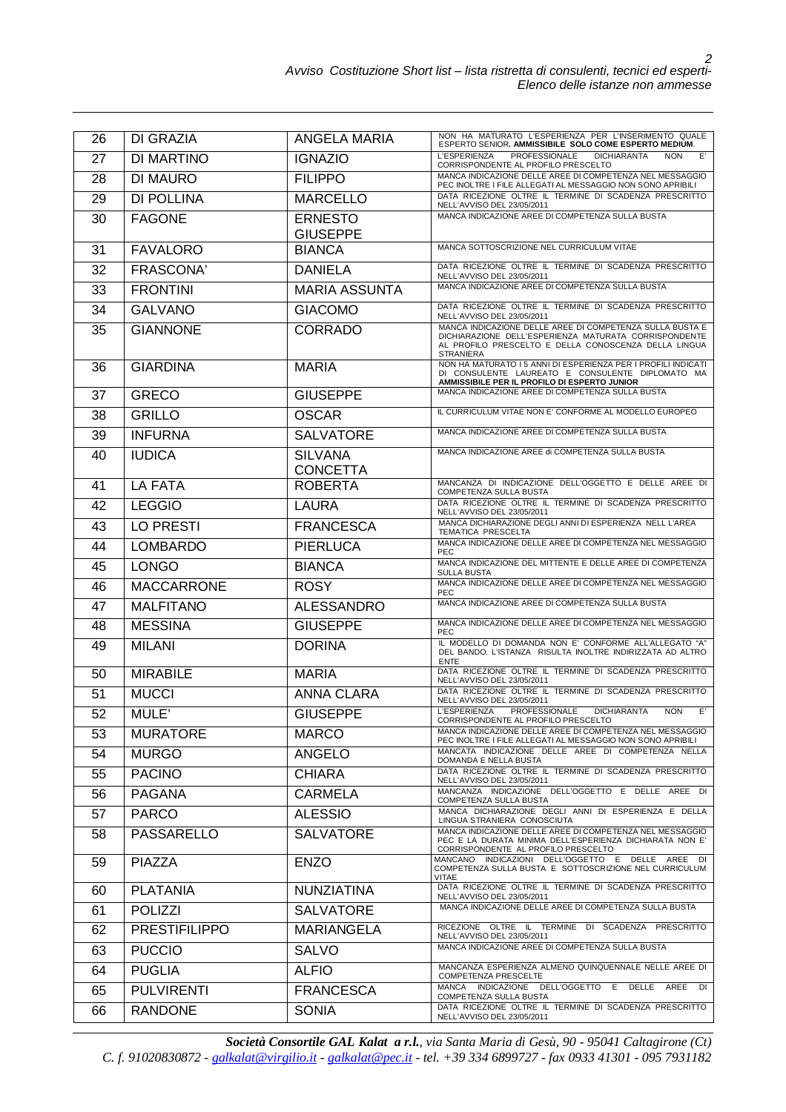| 26 | DI GRAZIA            | <b>ANGELA MARIA</b>               | NON HA MATURATO L'ESPERIENZA PER L'INSERIMENTO QUALE<br>ESPERTO SENIOR. AMMISSIBILE SOLO COME ESPERTO MEDIUM.                                                                                 |
|----|----------------------|-----------------------------------|-----------------------------------------------------------------------------------------------------------------------------------------------------------------------------------------------|
| 27 | DI MARTINO           | <b>IGNAZIO</b>                    | <b>L'ESPERIENZA</b><br>PROFESSIONALE<br><b>DICHIARANTA</b><br><b>NON</b><br>E'<br>CORRISPONDENTE AL PROFILO PRESCELTO                                                                         |
| 28 | <b>DI MAURO</b>      | <b>FILIPPO</b>                    | MANCA INDICAZIONE DELLE AREE DI COMPETENZA NEL MESSAGGIO<br>PEC INOLTRE I FILE ALLEGATI AL MESSAGGIO NON SONO APRIBILI                                                                        |
| 29 | DI POLLINA           | <b>MARCELLO</b>                   | DATA RICEZIONE OLTRE IL TERMINE DI SCADENZA PRESCRITTO<br>NELL'AVVISO DEL 23/05/2011                                                                                                          |
| 30 | <b>FAGONE</b>        | <b>ERNESTO</b><br><b>GIUSEPPE</b> | MANCA INDICAZIONE AREE DI COMPETENZA SULLA BUSTA                                                                                                                                              |
| 31 | <b>FAVALORO</b>      | <b>BIANCA</b>                     | MANCA SOTTOSCRIZIONE NEL CURRICULUM VITAE                                                                                                                                                     |
| 32 | FRASCONA'            | <b>DANIELA</b>                    | DATA RICEZIONE OLTRE IL TERMINE DI SCADENZA PRESCRITTO<br>NELL'AVVISO DEL 23/05/2011                                                                                                          |
| 33 | <b>FRONTINI</b>      | <b>MARIA ASSUNTA</b>              | MANCA INDICAZIONE AREE DI COMPETENZA SULLA BUSTA                                                                                                                                              |
| 34 | <b>GALVANO</b>       | <b>GIACOMO</b>                    | DATA RICEZIONE OLTRE IL TERMINE DI SCADENZA PRESCRITTO<br>NELL'AVVISO DEL 23/05/2011                                                                                                          |
| 35 | <b>GIANNONE</b>      | <b>CORRADO</b>                    | MANCA INDICAZIONE DELLE AREE DI COMPETENZA SULLA BUSTA E<br>DICHIARAZIONE DELL'ESPERIENZA MATURATA CORRISPONDENTE<br>AL PROFILO PRESCELTO E DELLA CONOSCENZA DELLA LINGUA<br><b>STRANIERA</b> |
| 36 | <b>GIARDINA</b>      | <b>MARIA</b>                      | NON HA MATURATO I 5 ANNI DI ESPERIENZA PER I PROFILI INDICATI<br>DI CONSULENTE LAUREATO E CONSULENTE DIPLOMATO MA<br>AMMISSIBILE PER IL PROFILO DI ESPERTO JUNIOR                             |
| 37 | <b>GRECO</b>         | <b>GIUSEPPE</b>                   | MANCA INDICAZIONE AREE DI COMPETENZA SULLA BUSTA                                                                                                                                              |
| 38 | <b>GRILLO</b>        | <b>OSCAR</b>                      | IL CURRICULUM VITAE NON E' CONFORME AL MODELLO EUROPEO                                                                                                                                        |
| 39 | <b>INFURNA</b>       | <b>SALVATORE</b>                  | MANCA INDICAZIONE AREE DI COMPETENZA SULLA BUSTA                                                                                                                                              |
| 40 | <b>IUDICA</b>        | <b>SILVANA</b><br><b>CONCETTA</b> | MANCA INDICAZIONE AREE di COMPETENZA SULLA BUSTA                                                                                                                                              |
| 41 | <b>LA FATA</b>       | <b>ROBERTA</b>                    | MANCANZA DI INDICAZIONE DELL'OGGETTO E DELLE AREE DI<br>COMPETENZA SULLA BUSTA                                                                                                                |
| 42 | <b>LEGGIO</b>        | <b>LAURA</b>                      | DATA RICEZIONE OLTRE IL TERMINE DI SCADENZA PRESCRITTO<br>NELL'AVVISO DEL 23/05/2011                                                                                                          |
| 43 | LO PRESTI            | <b>FRANCESCA</b>                  | MANCA DICHIARAZIONE DEGLI ANNI DI ESPERIENZA NELL L'AREA<br>TEMATICA PRESCELTA                                                                                                                |
| 44 | <b>LOMBARDO</b>      | <b>PIERLUCA</b>                   | MANCA INDICAZIONE DELLE AREE DI COMPETENZA NEL MESSAGGIO<br><b>PEC</b>                                                                                                                        |
| 45 | <b>LONGO</b>         | <b>BIANCA</b>                     | MANCA INDICAZIONE DEL MITTENTE E DELLE AREE DI COMPETENZA<br>SULLA BUSTA                                                                                                                      |
|    |                      |                                   |                                                                                                                                                                                               |
| 46 | <b>MACCARRONE</b>    | <b>ROSY</b>                       | MANCA INDICAZIONE DELLE AREE DI COMPETENZA NEL MESSAGGIO<br>PEC                                                                                                                               |
| 47 | <b>MALFITANO</b>     | <b>ALESSANDRO</b>                 | MANCA INDICAZIONE AREE DI COMPETENZA SULLA BUSTA                                                                                                                                              |
| 48 | <b>MESSINA</b>       | <b>GIUSEPPE</b>                   | MANCA INDICAZIONE DELLE AREE DI COMPETENZA NEL MESSAGGIO<br><b>PEC</b>                                                                                                                        |
| 49 | <b>MILANI</b>        | <b>DORINA</b>                     | IL MODELLO DI DOMANDA NON E' CONFORME ALL'ALLEGATO "A"<br>DEL BANDO. L'ISTANZA RISULTA INOLTRE INDIRIZZATA AD ALTRO<br><b>ENTE</b>                                                            |
| 50 | <b>MIRABILE</b>      | <b>MARIA</b>                      | DATA RICEZIONE OLTRE IL TERMINE DI SCADENZA PRESCRITTO<br>NELL'AVVISO DEL 23/05/2011                                                                                                          |
| 51 | <b>MUCCI</b>         | <b>ANNA CLARA</b>                 | DATA RICEZIONE OLTRE IL TERMINE DI SCADENZA PRESCRITTO<br>NELL'AVVISO DEL 23/05/2011                                                                                                          |
| 52 | MULE'                | <b>GIUSEPPE</b>                   | L'ESPERIENZA<br>PROFESSIONALE<br><b>DICHIARANTA</b><br><b>NON</b><br>E'<br>CORRISPONDENTE AL PROFILO PRESCELTO                                                                                |
| 53 | <b>MURATORE</b>      | <b>MARCO</b>                      | MANCA INDICAZIONE DELLE AREE DI COMPETENZA NEL MESSAGGIO<br>PEC INOLTRE I FILE ALLEGATI AL MESSAGGIO NON SONO APRIBILI                                                                        |
| 54 | <b>MURGO</b>         | <b>ANGELO</b>                     | MANCATA INDICAZIONE DELLE AREE DI COMPETENZA NELLA<br>DOMANDA E NELLA BUSTA                                                                                                                   |
| 55 | <b>PACINO</b>        | <b>CHIARA</b>                     | DATA RICEZIONE OLTRE IL TERMINE DI SCADENZA PRESCRITTO<br>NELL'AVVISO DEL 23/05/2011                                                                                                          |
| 56 | <b>PAGANA</b>        | <b>CARMELA</b>                    | MANCANZA INDICAZIONE DELL'OGGETTO E DELLE AREE DI<br>COMPETENZA SULLA BUSTA                                                                                                                   |
| 57 | <b>PARCO</b>         | <b>ALESSIO</b>                    | MANCA DICHIARAZIONE DEGLI ANNI DI ESPERIENZA E DELLA<br>LINGUA STRANIERA CONOSCIUTA                                                                                                           |
| 58 | <b>PASSARELLO</b>    | <b>SALVATORE</b>                  | MANCA INDICAZIONE DELLE AREE DI COMPETENZA NEL MESSAGGIO<br>PEC E LA DURATA MINIMA DELL'ESPERIENZA DICHIARATA NON E'<br>CORRISPONDENTE AL PROFILO PRESCELTO                                   |
| 59 | <b>PIAZZA</b>        | <b>ENZO</b>                       | MANCANO INDICAZIONI DELL'OGGETTO E DELLE AREE DI<br>COMPETENZA SULLA BUSTA E SOTTOSCRIZIONE NEL CURRICULUM<br><b>VITAE</b>                                                                    |
| 60 | <b>PLATANIA</b>      | <b>NUNZIATINA</b>                 | DATA RICEZIONE OLTRE IL TERMINE DI SCADENZA PRESCRITTO<br>NELL'AVVISO DEL 23/05/2011                                                                                                          |
| 61 | POLIZZI              | <b>SALVATORE</b>                  | MANCA INDICAZIONE DELLE AREE DI COMPETENZA SULLA BUSTA                                                                                                                                        |
| 62 | <b>PRESTIFILIPPO</b> | <b>MARIANGELA</b>                 | RICEZIONE OLTRE IL TERMINE DI SCADENZA PRESCRITTO<br>NELL'AVVISO DEL 23/05/2011                                                                                                               |
| 63 | <b>PUCCIO</b>        | <b>SALVO</b>                      | MANCA INDICAZIONE AREE DI COMPETENZA SULLA BUSTA                                                                                                                                              |
| 64 | <b>PUGLIA</b>        | <b>ALFIO</b>                      | MANCANZA ESPERIENZA ALMENO QUINQUENNALE NELLE AREE DI<br><b>COMPETENZA PRESCELTE</b>                                                                                                          |
| 65 | <b>PULVIRENTI</b>    | <b>FRANCESCA</b>                  | MANCA INDICAZIONE DELL'OGGETTO E DELLE AREE DI<br>COMPETENZA SULLA BUSTA                                                                                                                      |

*Società Consortile GAL Kalat a r.l., via Santa Maria di Gesù, 90 - 95041 Caltagirone (Ct) C. f. 91020830872 - galkalat@virgilio.it - galkalat@pec.it - tel. +39 334 6899727 - fax 0933 41301 - 095 7931182*